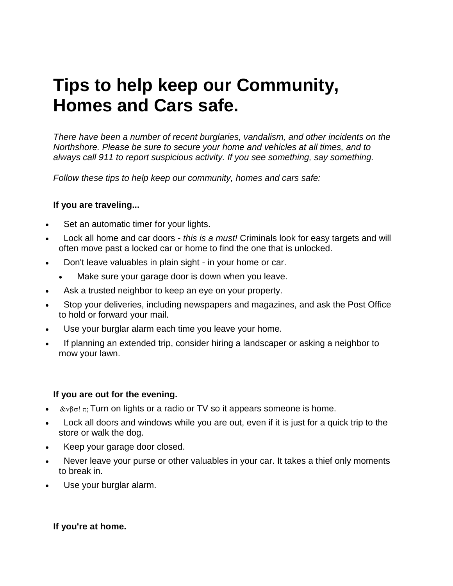# **Tips to help keep our Community, Homes and Cars safe.**

*There have been a number of recent burglaries, vandalism, and other incidents on the Northshore. Please be sure to secure your home and vehicles at all times, and to always call 911 to report suspicious activity. If you see something, say something.*

*Follow these tips to help keep our community, homes and cars safe:*

# **If you are traveling...**

- Set an automatic timer for your lights.
- Lock all home and car doors *this is a must!* Criminals look for easy targets and will often move past a locked car or home to find the one that is unlocked.
- Don't leave valuables in plain sight in your home or car.
	- Make sure your garage door is down when you leave.
- Ask a trusted neighbor to keep an eye on your property.
- Stop your deliveries, including newspapers and magazines, and ask the Post Office to hold or forward your mail.
- Use your burglar alarm each time you leave your home.
- If planning an extended trip, consider hiring a landscaper or asking a neighbor to mow your lawn.

### **If you are out for the evening.**

- $\bullet$   $\&\vee\beta\circ\phi$ :  $\pi$ . Turn on lights or a radio or TV so it appears someone is home.
- Lock all doors and windows while you are out, even if it is just for a quick trip to the store or walk the dog.
- Keep your garage door closed.
- Never leave your purse or other valuables in your car. It takes a thief only moments to break in.
- Use your burglar alarm.

### **If you're at home.**